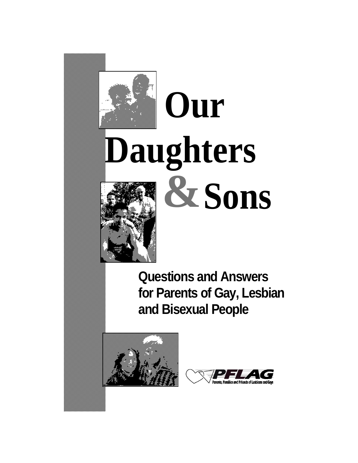# **Our Daughters & Sons**

**Questions and Answers for Parents of Gay, Lesbian and Bisexual People**



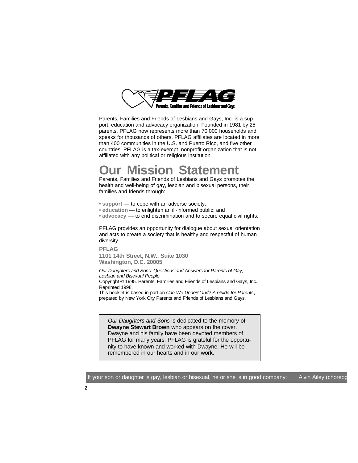

Parents, Families and Friends of Lesbians and Gays, Inc. is a support, education and advocacy organization. Founded in 1981 by 25 parents, PFLAG now represents more than 70,000 households and speaks for thousands of others. PFLAG affiliates are located in more than 400 communities in the U.S. and Puerto Rico, and five other countries. PFLAG is a tax-exempt, nonprofit organization that is not affiliated with any political or religious institution.

# **Our Mission Statement**

Parents, Families and Friends of Lesbians and Gays promotes the health and well-being of gay, lesbian and bisexual persons, their families and friends through:

**• support** — to cope with an adverse society;

**• education** — to enlighten an ill-informed public; and

**• advocacy** — to end discrimination and to secure equal civil rights.

PFLAG provides an opportunity for dialogue about sexual orientation and acts to create a society that is healthy and respectful of human diversity.

**PFLAG 1101 14th Street, N.W., Suite 1030 Washington, D.C. 20005**

*Our Daughters and Sons: Questions and Answers for Parents of Gay, Lesbian and Bisexual People* Copyright © 1995. Parents, Families and Friends of Lesbians and Gays, Inc. Reprinted 1998. This booklet is based in part on *Can We Understand? A Guide for Parents*, prepared by New York City Parents and Friends of Lesbians and Gays.

*Our Daughters and Sons* is dedicated to the memory of **Dwayne Stewart Brown** who appears on the cover. Dwayne and his family have been devoted members of PFLAG for many years. PFLAG is grateful for the opportu-

nity to have known and worked with Dwayne. He will be remembered in our hearts and in our work.

If your son or daughter is gay, lesbian or bisexual, he or she is in good company: Alvin Ailey (choreog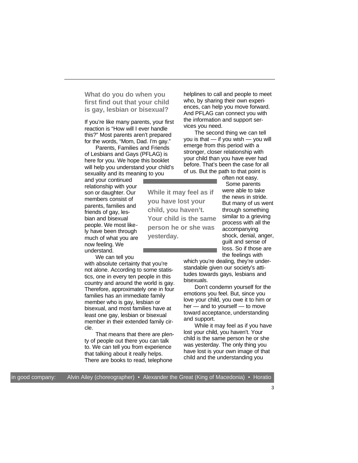**What do you do when you first find out that your child is gay, lesbian or bisexual?**

If you're like many parents, your first reaction is "How will I ever handle this?" Most parents aren't prepared for the words, "Mom, Dad. I'm gay."

Parents, Families and Friends of Lesbians and Gays (PFLAG) is here for you. We hope this booklet will help you understand your child's sexuality and its meaning to you

and your continued relationship with your son or daughter. Our members consist of parents, families and friends of gay, lesbian and bisexual people. We most likely have been through much of what you are now feeling. We understand. We can tell you

with absolute certainty that you're not alone. According to some statistics, one in every ten people in this country and around the world is gay. Therefore, approximately one in four families has an immediate family member who is gay, lesbian or bisexual, and most families have at least one gay, lesbian or bisexual member in their extended family circle.

That means that there are plenty of people out there you can talk to. We can tell you from experience that talking about it really helps. There are books to read, telephone

helplines to call and people to meet who, by sharing their own experiences, can help you move forward. And PFLAG can connect you with the information and support services you need.

The second thing we can tell you is that — if you wish — you will emerge from this period with a stronger, closer relationship with your child than you have ever had before. That's been the case for all of us. But the path to that point is

**While it may feel as if you have lost your child, you haven't. Your child is the same person he or she was yesterday.**

often not easy. Some parents were able to take the news in stride. But many of us went through something similar to a grieving process with all the accompanying shock, denial, anger, guilt and sense of loss. So if those are the feelings with

which you're dealing, they're understandable given our society's attitudes towards gays, lesbians and bisexuals.

Don't condemn yourself for the emotions you feel. But, since you love your child, you owe it to him or her — and to yourself — to move toward acceptance, understanding and support.

While it may feel as if you have lost your child, you haven't. Your child is the same person he or she was yesterday. The only thing you have lost is your own image of that child and the understanding you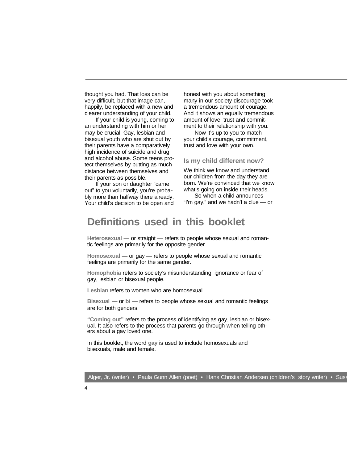thought you had. That loss can be very difficult, but that image can, happily, be replaced with a new and clearer understanding of your child.

If your child is young, coming to an understanding with him or her may be crucial. Gay, lesbian and bisexual youth who are shut out by their parents have a comparatively high incidence of suicide and drug and alcohol abuse. Some teens protect themselves by putting as much distance between themselves and their parents as possible.

If your son or daughter "came out" to you voluntarily, you're probably more than halfway there already. Your child's decision to be open and honest with you about something many in our society discourage took a tremendous amount of courage. And it shows an equally tremendous amount of love, trust and commitment to their relationship with you.

Now it's up to you to match your child's courage, commitment, trust and love with your own.

### **Is my child different now?**

We think we know and understand our children from the day they are born. We're convinced that we know what's going on inside their heads. So when a child announces

"I'm gay," and we hadn't a clue — or

## **Definitions used in this booklet**

**Heterosexual** — or straight — refers to people whose sexual and romantic feelings are primarily for the opposite gender.

**Homosexual** — or gay — refers to people whose sexual and romantic feelings are primarily for the same gender.

**Homophobia** refers to society's misunderstanding, ignorance or fear of gay, lesbian or bisexual people.

**Lesbian** refers to women who are homosexual.

**Bisexual** — or **bi** — refers to people whose sexual and romantic feelings are for both genders.

**"Coming out"** refers to the process of identifying as gay, lesbian or bisexual. It also refers to the process that parents go through when telling others about a gay loved one.

In this booklet, the word **gay** is used to include homosexuals and bisexuals, male and female.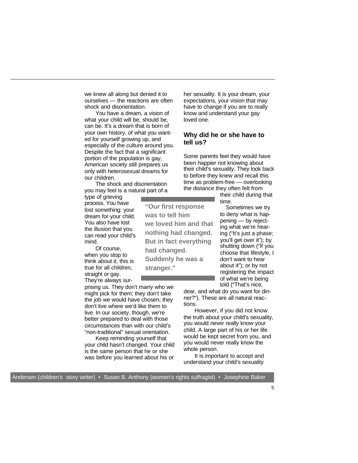we knew all along but denied it to ourselves — the reactions are often shock and disorientation.

You have a dream, a vision of what your child will be, should be, can be. It's a dream that is born of your own history, of what you wanted for yourself growing up, and especially of the culture around you. Despite the fact that a significant portion of the population is gay, American society still prepares us only with heterosexual dreams for our children.

The shock and disorientation you may feel is a natural part of a

> **"Our first response was to tell him**

**had changed.**

**stranger."** 

**Suddenly he was a**

**we loved him and that nothing had changed. But in fact everything**

type of grieving process. You have lost something: your dream for your child. You also have lost the illusion that you can read your child's mind.

Of course, when you stop to think about it, this is true for all children, straight or gay. They're always sur-

prising us. They don't marry who we might pick for them; they don't take the job we would have chosen; they don't live where we'd like them to live. In our society, though, we're better prepared to deal with those circumstances than with our child's "non-traditional" sexual orientation.

Keep reminding yourself that your child hasn't changed. Your child is the same person that he or she was before you learned about his or

her sexuality. It is your dream, your expectations, your vision that may have to change if you are to really know and understand your gay loved one.

### **Why did he or she have to tell us?**

Some parents feel they would have been happier not knowing about their child's sexuality. They look back to before they knew and recall this time as problem-free — overlooking the distance they often felt from their child during that

time.

Sometimes we try to deny what is happening — by rejecting what we're hearing ("It's just a phase; you'll get over it"); by shutting down ("If you choose that lifestyle, I don't want to hear about it"); or by not registering the impact of what we're being told ("That's nice,

dear, and what do you want for dinner?"). These are all natural reactions.

However, if you did not know the truth about your child's sexuality, you would never really know your child. A large part of his or her life would be kept secret from you, and you would never really know the whole person.

It is important to accept and understand your child's sexuality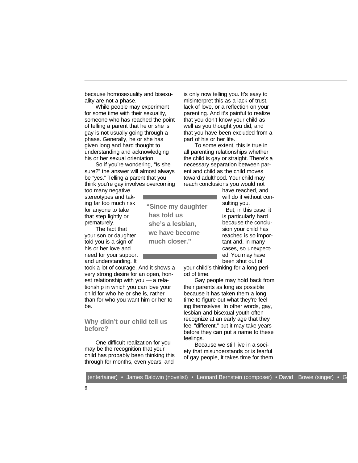because homosexuality and bisexuality are not a phase.

While people may experiment for some time with their sexuality, someone who has reached the point of telling a parent that he or she is gay is not usually going through a phase. Generally, he or she has given long and hard thought to understanding and acknowledging his or her sexual orientation.

So if you're wondering, "Is she sure?" the answer will almost always be "yes." Telling a parent that you think you're gay involves overcoming

**"Since my daughter**

**has told us she's a lesbian, we have become much closer."**

too many negative stereotypes and taking far too much risk for anyone to take that step lightly or prematurely.

The fact that your son or daughter told you is a sign of his or her love and need for your support and understanding. It

took a lot of courage. And it shows a very strong desire for an open, honest relationship with you — a relationship in which you can love your child for who he or she is, rather than for who you want him or her to be.

**Why didn't our child tell us before?**

One difficult realization for you may be the recognition that your child has probably been thinking this through for months, even years, and

is only now telling you. It's easy to misinterpret this as a lack of trust, lack of love, or a reflection on your parenting. And it's painful to realize that you don't know your child as well as you thought you did, and that you have been excluded from a part of his or her life.

To some extent, this is true in all parenting relationships whether the child is gay or straight. There's a necessary separation between parent and child as the child moves toward adulthood. Your child may reach conclusions you would not

have reached, and will do it without consulting you.

But, in this case, it is particularly hard because the conclusion your child has reached is so important and, in many cases, so unexpected. You may have been shut out of

your child's thinking for a long period of time.

Gay people may hold back from their parents as long as possible because it has taken them a long time to figure out what they're feeling themselves. In other words, gay, lesbian and bisexual youth often recognize at an early age that they feel "different," but it may take years before they can put a name to these feelings.

Because we still live in a society that misunderstands or is fearful of gay people, it takes time for them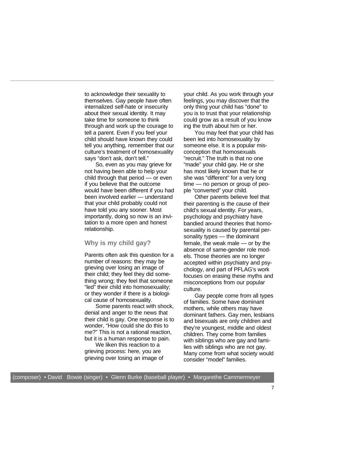to acknowledge their sexuality to themselves. Gay people have often internalized self-hate or insecurity about their sexual identity. It may take time for someone to think through and work up the courage to tell a parent. Even if you feel your child should have known they could tell you anything, remember that our culture's treatment of homosexuality says "don't ask, don't tell."

So, even as you may grieve for not having been able to help your child through that period — or even if you believe that the outcome would have been different if you had been involved earlier — understand that your child probably could not have told you any sooner. Most importantly, doing so now is an invitation to a more open and honest relationship.

### **Why is my child gay?**

Parents often ask this question for a number of reasons: they may be grieving over losing an image of their child; they feel they did something wrong; they feel that someone "led" their child into homosexuality; or they wonder if there is a biological cause of homosexuality.

Some parents react with shock, denial and anger to the news that their child is gay. One response is to wonder, "How could she do this to me?" This is not a rational reaction, but it is a human response to pain.

We liken this reaction to a grieving process: here, you are grieving over losing an image of your child. As you work through your feelings, you may discover that the only thing your child has "done" to you is to trust that your relationship could grow as a result of you knowing the truth about him or her.

You may feel that your child has been led into homosexuality by someone else. It is a popular misconception that homosexuals "recruit." The truth is that no one "made" your child gay. He or she has most likely known that he or she was "different" for a very long time — no person or group of people "converted" your child.

Other parents believe feel that their parenting is the cause of their child's sexual identity. For years, psychology and psychiatry have bandied around theories that homosexuality is caused by parental personality types — the dominant female, the weak male — or by the absence of same-gender role models. Those theories are no longer accepted within psychiatry and psychology, and part of PFLAG's work focuses on erasing these myths and misconceptions from our popular culture.

Gay people come from all types of families. Some have dominant mothers, while others may have dominant fathers. Gay men, lesbians and bisexuals are only children and they're youngest, middle and oldest children. They come from families with siblings who are gay and families with siblings who are not gay. Many come from what society would consider "model" families.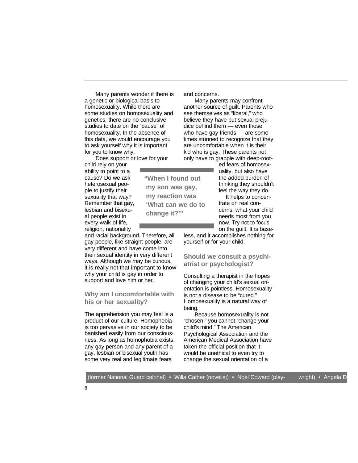Many parents wonder if there is a genetic or biological basis to homosexuality. While there are some studies on homosexuality and genetics, there are no conclusive studies to date on the "cause" of homosexuality. In the absence of this data, we would encourage you to ask yourself why it is important for you to know why.

Does support or love for your

child rely on your ability to point to a cause? Do we ask heterosexual people to justify their sexuality that way? Remember that gay, lesbian and bisexual people exist in every walk of life, religion, nationality

and racial background. Therefore, all gay people, like straight people, are very different and have come into their sexual identity in very different ways. Although we may be curious, it is really not that important to know why your child is gay in order to support and love him or her.

### **Why am I uncomfortable with his or her sexuality?**

The apprehension you may feel is a product of our culture. Homophobia is too pervasive in our society to be banished easily from our consciousness. As long as homophobia exists, any gay person and any parent of a gay, lesbian or bisexual youth has some very real and legitimate fears

and concerns.

Many parents may confront another source of guilt. Parents who see themselves as "liberal," who believe they have put sexual prejudice behind them — even those who have gay friends — are sometimes stunned to recognize that they are uncomfortable when it is their kid who is gay. These parents not only have to grapple with deep-root-

**"When I found out my son was gay, my reaction was 'What can we do to change it?'"**

ed fears of homosexuality, but also have the added burden of thinking they shouldn't feel the way they do. It helps to concentrate on real concerns: what your child

needs most from you now. Try not to focus on the guilt. It is baseless, and it accomplishes nothing for

yourself or for your child.

### **Should we consult a psychiatrist or psychologist?**

Consulting a therapist in the hopes of changing your child's sexual orientation is pointless. Homosexuality is not a disease to be "cured." Homosexuality is a natural way of being.

Because homosexuality is not "chosen," you cannot "change your child's mind." The American Psychological Association and the American Medical Association have taken the official position that it would be unethical to even try to change the sexual orientation of a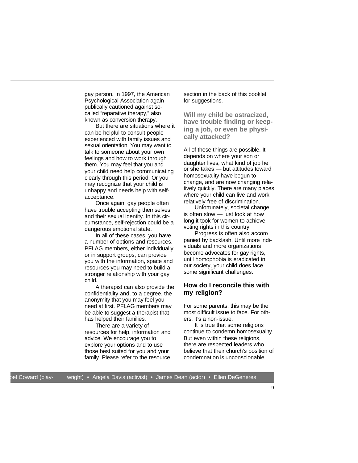gay person. In 1997, the American Psychological Association again publically cautioned against socalled "reparative therapy," also known as conversion therapy.

But there are situations where it can be helpful to consult people experienced with family issues and sexual orientation. You may want to talk to someone about your own feelings and how to work through them. You may feel that you and your child need help communicating clearly through this period. Or you may recognize that your child is unhappy and needs help with selfacceptance.

Once again, gay people often have trouble accepting themselves and their sexual identity. In this circumstance, self-rejection could be a dangerous emotional state.

In all of these cases, you have a number of options and resources. PFLAG members, either individually or in support groups, can provide you with the information, space and resources you may need to build a stronger relationship with your gay child.

A therapist can also provide the confidentiality and, to a degree, the anonymity that you may feel you need at first. PFLAG members may be able to suggest a therapist that has helped their families.

There are a variety of resources for help, information and advice. We encourage you to explore your options and to use those best suited for you and your family. Please refer to the resource

section in the back of this booklet for suggestions.

**Will my child be ostracized, have trouble finding or keeping a job, or even be physically attacked?**

All of these things are possible. It depends on where your son or daughter lives, what kind of job he or she takes — but attitudes toward homosexuality have begun to change, and are now changing relatively quickly. There are many places where your child can live and work relatively free of discrimination.

Unfortunately, societal change is often slow — just look at how long it took for women to achieve voting rights in this country.

Progress is often also accompanied by backlash. Until more individuals and more organizations become advocates for gay rights, until homophobia is eradicated in our society, your child does face some significant challenges.

### **How do I reconcile this with my religion?**

For some parents, this may be the most difficult issue to face. For others, it's a non-issue.

It is true that some religions continue to condemn homosexuality. But even within these religions, there are respected leaders who believe that their church's position of condemnation is unconscionable.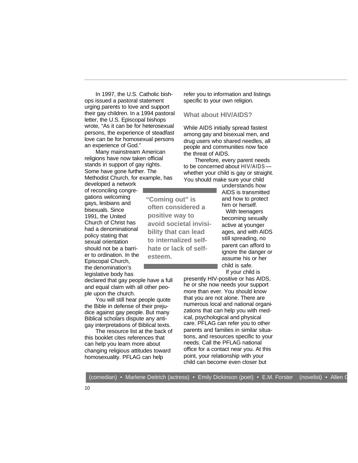In 1997, the U.S. Catholic bishops issued a pastoral statement urging parents to love and support their gay children. In a 1994 pastoral letter, the U.S. Episcopal bishops wrote, "As it can be for heterosexual persons, the experience of steadfast love can be for homosexual persons an experience of God."

Many mainstream American religions have now taken official stands in support of gay rights. Some have gone further. The Methodist Church, for example, has

> **"Coming out" is often considered a positive way to**

**esteem.**

**avoid societal invisibility that can lead to internalized selfhate or lack of self-**

developed a network of reconciling congregations welcoming gays, lesbians and bisexuals. Since 1991, the United Church of Christ has had a denominational policy stating that sexual orientation should not be a barrier to ordination. In the Episcopal Church, the denomination's legislative body has

declared that gay people have a full and equal claim with all other people upon the church.

You will still hear people quote the Bible in defense of their prejudice against gay people. But many Biblical scholars dispute any antigay interpretations of Biblical texts.

The resource list at the back of this booklet cites references that can help you learn more about changing religious attitudes toward homosexuality. PFLAG can help

refer you to information and listings specific to your own religion.

### **What about HIV/AIDS?**

While AIDS initially spread fastest among gay and bisexual men, and drug users who shared needles, all people and communities now face the threat of AIDS.

Therefore, every parent needs to be concerned about HIV/AIDS whether your child is gay or straight. You should make sure your child

> understands how AIDS is transmitted and how to protect him or herself. With teenagers becoming sexually active at younger ages, and with AIDS still spreading, no parent can afford to ignore the danger or assume his or her child is safe. If your child is

presently HIV-positive or has AIDS, he or she now needs your support more than ever. You should know that you are not alone. There are numerous local and national organizations that can help you with medical, psychological and physical care. PFLAG can refer you to other parents and families in similar situations, and resources specific to your needs. Call the PFLAG national office for a contact near you. At this point, your relationship with your child can become even closer but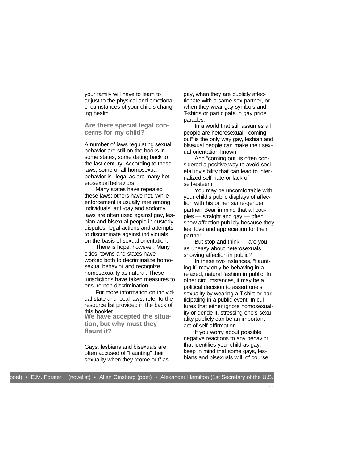your family will have to learn to adiust to the physical and emotional circumstances of your child's changing health.

**Are there special legal concerns for my child?**

A number of laws regulating sexual behavior are still on the books in some states, some dating back to the last century. According to these laws, some or all homosexual behavior is illegal as are many heterosexual behaviors.

Many states have repealed these laws; others have not. While enforcement is usually rare among individuals, anti-gay and sodomy laws are often used against gay, lesbian and bisexual people in custody disputes, legal actions and attempts to discriminate against individuals on the basis of sexual orientation.

There is hope, however. Many cities, towns and states have worked both to decriminalize homosexual behavior and recognize homosexuality as natural. These jurisdictions have taken measures to ensure non-discrimination.

For more information on individual state and local laws, refer to the resource list provided in the back of this booklet.

**We have accepted the situation, but why must they flaunt it?**

Gays, lesbians and bisexuals are often accused of "flaunting" their sexuality when they "come out" as gay, when they are publicly affectionate with a same-sex partner, or when they wear gay symbols and T-shirts or participate in gay pride parades.

In a world that still assumes all people are heterosexual, "coming out" is the only way gay, lesbian and bisexual people can make their sexual orientation known.

And "coming out" is often considered a positive way to avoid societal invisibility that can lead to internalized self-hate or lack of self-esteem.

You may be uncomfortable with your child's public displays of affection with his or her same-gender partner. Bear in mind that all couples — straight and gay — often show affection publicly because they feel love and appreciation for their partner.

But stop and think — are you as uneasy about heterosexuals showing affection in public?

In these two instances, "flaunting it" may only be behaving in a relaxed, natural fashion in public. In other circumstances, it may be a political decision to assert one's sexuality by wearing a T-shirt or participating in a public event. In cultures that either ignore homosexuality or deride it, stressing one's sexuality publicly can be an important act of self-affirmation.

If you worry about possible negative reactions to any behavior that identifies your child as gay, keep in mind that some gays, lesbians and bisexuals will, of course,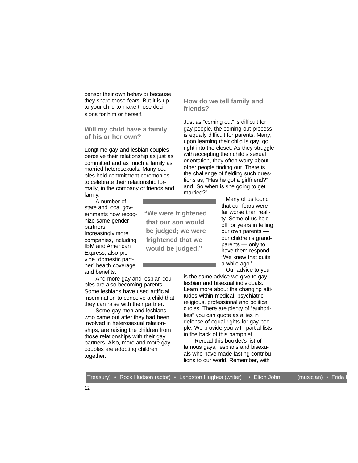censor their own behavior because they share those fears. But it is up to your child to make those decisions for him or herself.

### **Will my child have a family of his or her own?**

Longtime gay and lesbian couples perceive their relationship as just as committed and as much a family as married heterosexuals. Many couples hold commitment ceremonies to celebrate their relationship formally, in the company of friends and family.

A number of state and local governments now recognize same-gender partners. Increasingly more companies, including IBM and American Express, also provide "domestic partner" health coverage and benefits.

And more gay and lesbian couples are also becoming parents. Some lesbians have used artificial insemination to conceive a child that they can raise with their partner.

Some gay men and lesbians, who came out after they had been involved in heterosexual relationships, are raising the children from those relationships with their gay partners. Also, more and more gay couples are adopting children together.

12

**How do we tell family and friends?**

Just as "coming out" is difficult for gay people, the coming-out process is equally difficult for parents. Many, upon learning their child is gay, go right into the closet. As they struggle with accepting their child's sexual orientation, they often worry about other people finding out. There is the challenge of fielding such questions as, "Has he got a girlfriend?" and "So when is she going to get married?"

**"We were frightened that our son would be judged; we were frightened that we would be judged."**

Many of us found that our fears were far worse than reality. Some of us held off for years in telling our own parents our children's grandparents — only to have them respond, "We knew that quite a while ago." Our advice to you

is the same advice we give to gay, lesbian and bisexual individuals. Learn more about the changing attitudes within medical, psychiatric, religious, professional and political circles. There are plenty of "authorities" you can quote as allies in defense of equal rights for gay people. We provide you with partial lists in the back of this pamphlet.

Reread this booklet's list of famous gays, lesbians and bisexuals who have made lasting contributions to our world. Remember, with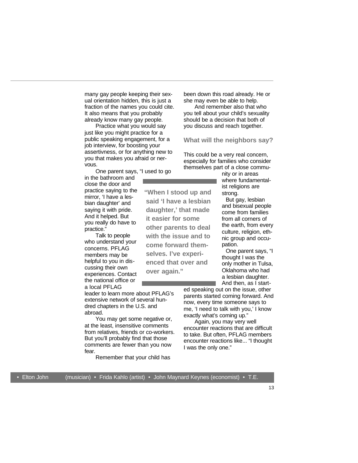many gay people keeping their sexual orientation hidden, this is just a fraction of the names you could cite. It also means that you probably already know many gay people.

Practice what you would say just like you might practice for a public speaking engagement, for a job interview, for boosting your assertivness, or for anything new to you that makes you afraid or nervous.

One parent says, "I used to go

**"When I stood up and said 'I have a lesbian daughter,' that made it easier for some other parents to deal with the issue and to come forward themselves. I've experienced that over and** 

**over again."**

in the bathroom and close the door and practice saying to the mirror, 'I have a lesbian daughter' and saying it with pride. And it helped. But you really do have to practice."

Talk to people who understand your concerns. PFLAG members may be helpful to you in discussing their own experiences. Contact the national office or a local PFLAG

leader to learn more about PFLAG's extensive network of several hundred chapters in the U.S. and abroad.

You may get some negative or, at the least, insensitive comments from relatives, friends or co-workers. But you'll probably find that those comments are fewer than you now fear.

Remember that your child has

been down this road already. He or she may even be able to help.

And remember also that who you tell about your child's sexuality should be a decision that both of you discuss and reach together.

**What will the neighbors say?**

This could be a very real concern, especially for families who consider themselves part of a close commu-

> nity or in areas where fundamentalist religions are strong.

But gay, lesbian and bisexual people come from families from all corners of the earth, from every culture, religion, ethnic group and occupation.

One parent says, "I thought I was the only mother in Tulsa, Oklahoma who had a lesbian daughter. And then, as I start-

ed speaking out on the issue, other parents started coming forward. And now, every time someone says to me, 'I need to talk with you,' I know exactly what's coming up."

Again, you may very well encounter reactions that are difficult to take. But often, PFLAG members encounter reactions like... "I thought I was the only one."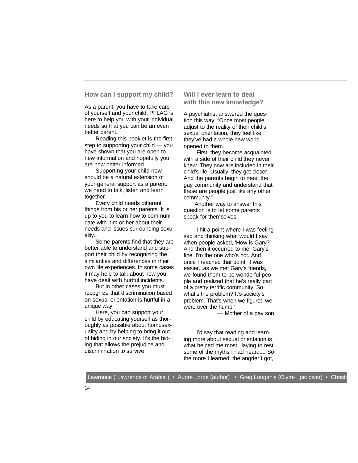### **How can I support my child?**

As a parent, you have to take care of yourself and your child. PFLAG is here to help you with your individual needs so that you can be an even better parent.

Reading this booklet is the first step to supporting your child — you have shown that you are open to new information and hopefully you are now better informed.

Supporting your child now should be a natural extension of your general support as a parent: we need to talk, listen and learn together.

Every child needs different things from his or her parents. It is up to you to learn how to communicate with him or her about their needs and issues surrounding sexuality.

Some parents find that they are better able to understand and support their child by recognizing the similarities and differences in their own life experiences. In some cases it may help to talk about how you have dealt with hurtful incidents.

But in other cases you must recognize that discrimination based on sexual orientation is hurtful in a unique way.

Here, you can support your child by educating yourself as thoroughly as possible about homosexuality and by helping to bring it out of hiding in our society. It's the hiding that allows the prejudice and discrimination to survive.

**Will I ever learn to deal with this new knowledge?**

A psychiatrist answered the question this way: "Once most people adiust to the reality of their child's sexual orientation, they feel like they've had a whole new world opened to them.

"First, they become acquainted with a side of their child they never knew. They now are included in their child's life. Usually, they get closer. And the parents begin to meet the gay community and understand that these are people just like any other community."

Another way to answer this question is to let some parents speak for themselves:

"I hit a point where I was feeling sad and thinking what would I say when people asked, 'How is Gary?' And then it occurred to me: Gary's fine. I'm the one who's not. And once I reached that point, it was easier...as we met Gary's friends, we found them to be wonderful people and realized that he's really part of a pretty terrific community. So what's the problem? It's society's problem. That's when we figured we were over the hump."

— Mother of a gay son

"I'd say that reading and learning more about sexual orientation is what helped me most...laying to rest some of the myths I had heard.... So the more I learned, the angrier I got,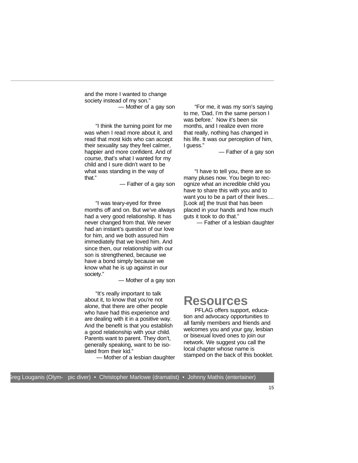and the more I wanted to change society instead of my son." — Mother of a gay son

"I think the turning point for me was when I read more about it, and read that most kids who can accept their sexuality say they feel calmer, happier and more confident. And of course, that's what I wanted for my child and I sure didn't want to be what was standing in the way of that."

— Father of a gay son

"I was teary-eyed for three months off and on. But we've always had a very good relationship. It has never changed from that. We never had an instant's question of our love for him, and we both assured him immediately that we loved him. And since then, our relationship with our son is strengthened, because we have a bond simply because we know what he is up against in our society."

— Mother of a gay son

"It's really important to talk about it, to know that you're not alone, that there are other people who have had this experience and are dealing with it in a positive way. And the benefit is that you establish a good relationship with your child. Parents want to parent. They don't, generally speaking, want to be isolated from their kid."

— Mother of a lesbian daughter

"For me, it was my son's saying to me, 'Dad, I'm the same person I was before.' Now it's been six months, and I realize even more that really, nothing has changed in his life. It was our perception of him, I guess."

— Father of a gay son

"I have to tell you, there are so many pluses now. You begin to recognize what an incredible child you have to share this with you and to want you to be a part of their lives.... [Look at] the trust that has been placed in your hands and how much guts it took to do that."

— Father of a lesbian daughter

# **Resources**

PFLAG offers support, education and advocacy opportunities to all family members and friends and welcomes you and your gay, lesbian or bisexual loved ones to join our network. We suggest you call the local chapter whose name is stamped on the back of this booklet.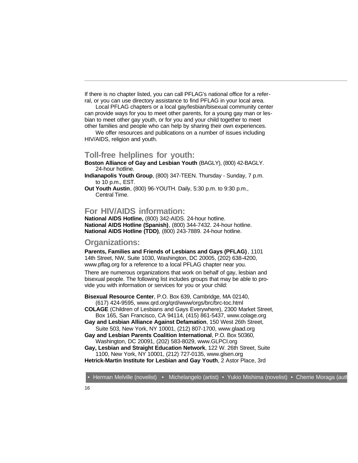If there is no chapter listed, you can call PFLAG's national office for a referral, or you can use directory assistance to find PFLAG in your local area.

Local PFLAG chapters or a local gay/lesbian/bisexual community center can provide ways for you to meet other parents, for a young gay man or lesbian to meet other gay youth, or for you and your child together to meet other families and people who can help by sharing their own experiences.

We offer resources and publications on a number of issues including HIV/AIDS, religion and youth.

### **Toll-free helplines for youth:**

**Boston Alliance of Gay and Lesbian Youth** (BAGLY), (800) 42-BAGLY. 24-hour hotline.

**Indianapolis Youth Group**, (800) 347-TEEN. Thursday - Sunday, 7 p.m. to 10 p.m., EST.

**Out Youth Austin**, (800) 96-YOUTH. Daily, 5:30 p.m. to 9:30 p.m., Central Time.

### **For HIV/AIDS information:**

**National AIDS Hotline,** (800) 342-AIDS. 24-hour hotline. **National AIDS Hotline (Spanish)**, (800) 344-7432. 24-hour hotline. **National AIDS Hotline (TDD)**, (800) 243-7889. 24-hour hotline.

### **Organizations:**

**Parents, Families and Friends of Lesbians and Gays (PFLAG)**, 1101 14th Street, NW, Suite 1030, Washington, DC 20005, (202) 638-4200, www.pflag.org for a reference to a local PFLAG chapter near you.

There are numerous organizations that work on behalf of gay, lesbian and bisexual people. The following list includes groups that may be able to provide you with information or services for you or your child:

**Bisexual Resource Center**, P.O. Box 639, Cambridge, MA 02140, (617) 424-9595, www.qrd.org/qrd/www/orgs/brc/brc-toc.html

**COLAGE** (Children of Lesbians and Gays Everywhere), 2300 Market Street, Box 165, San Francisco, CA 94114, (415) 861-5437, www.colage.org

**Gay and Lesbian Alliance Against Defamation**, 150 West 26th Street, Suite 503, New York, NY 10001, (212) 807-1700, www.glaad.org

**Gay and Lesbian Parents Coalition International**, P.O. Box 50360, Washington, DC 20091, (202) 583-8029, www.GLPCI.org

**Gay, Lesbian and Straight Education Network**, 122 W. 26th Street, Suite 1100, New York, NY 10001, (212) 727-0135, www.glsen.org

**Hetrick-Martin Institute for Lesbian and Gay Youth**, 2 Astor Place, 3rd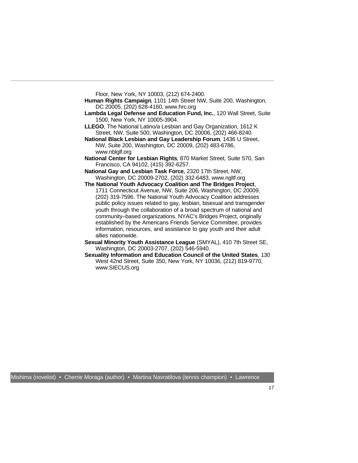Floor, New York, NY 10003, (212) 674-2400.

- **Human Rights Campaign**, 1101 14th Street NW, Suite 200, Washington, DC 20005, (202) 628-4160, www.hrc.org
- **Lambda Legal Defense and Education Fund, Inc.**, 120 Wall Street, Suite 1500, New York, NY 10005-3904.
- **LLEGO**, The National Latino/a Lesbian and Gay Organization, 1612 K Street, NW, Suite 500, Washington, DC 20006, (202) 466-8240.
- **National Black Lesbian and Gay Leadership Forum**, 1436 U Street, NW, Suite 200, Washington, DC 20009, (202) 483-6786, www.nblglf.org
- **National Center for Lesbian Rights**, 870 Market Street, Suite 570, San Francisco, CA 94102, (415) 392-6257.
- **National Gay and Lesbian Task Force**, 2320 17th Street, NW, Washington, DC 20009-2702, (202) 332-6483, www.ngltf.org
- **The National Youth Advocacy Coalition and The Bridges Project**, 1711 Connecticut Avenue, NW, Suite 206, Washington, DC 20009, (202) 319-7596. The National Youth Advocacy Coalition addresses public policy issues related to gay, lesbian, bisexual and transgender youth through the collaboration of a broad spectrum of national and community–based organizations. NYAC's Bridges Project, originally established by the Americans Friends Service Committee, provides information, resources, and assistance to gay youth and their adult allies nationwide.
- **Sexual Minority Youth Assistance League** (SMYAL), 410 7th Street SE, Washington, DC 20003-2707, (202) 546-5940.
- **Sexuality Information and Education Council of the United States**, 130 West 42nd Street, Suite 350, New York, NY 10036, (212) 819-9770, www.SIECUS.org

Mishima (novelist) • Cherrie Moraga (author) • Martina Navratilova (tennis champion) • Lawrence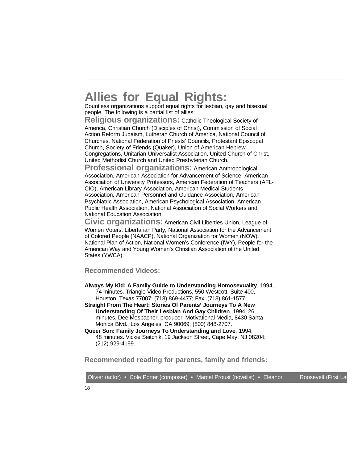# **Allies for Equal Rights:**

Countless organizations support equal rights for lesbian, gay and bisexual people. The following is a partial list of allies:

**Religious organizations:** Catholic Theological Society of America, Christian Church (Disciples of Christ), Commission of Social Action Reform Judaism, Lutheran Church of America, National Council of Churches, National Federation of Priests' Councils, Protestant Episcopal Church, Society of Friends (Quaker), Union of American Hebrew Congregations, Unitarian-Universalist Association, United Church of Christ, United Methodist Church and United Presbyterian Church.

**Professional organizations:** American Anthropological Association, American Association for Advancement of Science, American Association of University Professors, American Federation of Teachers (AFL-CIO), American Library Association, American Medical Students Association, American Personnel and Guidance Association, American Psychiatric Association, American Psychological Association, American Public Health Association, National Association of Social Workers and National Education Association.

**Civic organizations:** American Civil Liberties Union, League of Women Voters, Libertarian Party, National Association for the Advancement of Colored People (NAACP), National Organization for Women (NOW), National Plan of Action, National Women's Conference (IWY), People for the American Way and Young Women's Christian Association of the United States (YWCA).

**Recommended Videos:**

**Always My Kid: A Family Guide to Understanding Homosexuality**. 1994, 74 minutes. Triangle Video Productions, 550 Westcott, Suite 400, Houston, Texas 77007; (713) 869-4477; Fax: (713) 861-1577.

**Straight From The Heart: Stories Of Parents' Journeys To A New Understanding Of Their Lesbian And Gay Children**. 1994, 26 minutes. Dee Mosbacher, producer. Motivational Media, 8430 Santa Monica Blvd., Los Angeles, CA 90069; (800) 848-2707.

**Queer Son: Family Journeys To Understanding and Love**. 1994, 48 minutes. Vickie Seitchik, 19 Jackson Street, Cape May, NJ 08204; (212) 929-4199.

**Recommended reading for parents, family and friends:**

Olivier (actor) • Cole Porter (composer) • Marcel Proust (novelist) • Eleanor Roosevelt (First Lad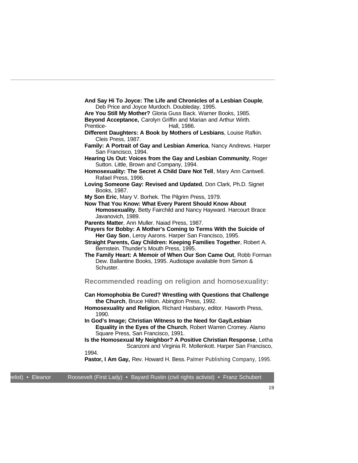| Deb Price and Joyce Murdoch. Doubleday, 1995.                                                |
|----------------------------------------------------------------------------------------------|
| Are You Still My Mother? Gloria Guss Back. Warner Books, 1985.                               |
| Beyond Acceptance, Carolyn Griffin and Marian and Arthur Wirth.                              |
| Prentice-<br>Hall, 1986.                                                                     |
| Different Daughters: A Book by Mothers of Lesbians, Louise Rafkin.<br>Cleis Press, 1987.     |
| Family: A Portrait of Gay and Lesbian America, Nancy Andrews. Harper<br>San Francisco, 1994. |
| Hearing Us Out: Voices from the Gay and Lesbian Community, Roger                             |
| Sutton. Little, Brown and Company, 1994.                                                     |
| Homosexuality: The Secret A Child Dare Not Tell, Mary Ann Cantwell.<br>Rafael Press, 1996.   |
| Loving Someone Gay: Revised and Updated, Don Clark, Ph.D. Signet<br>Books, 1987.             |
| My Son Eric, Mary V. Borhek. The Pilgrim Press, 1979.                                        |
| Now That You Know: What Every Parent Should Know About                                       |
| Homosexuality, Betty Fairchild and Nancy Hayward. Harcourt Brace<br>Javanovich, 1989.        |
| Parents Matter, Ann Muller. Naiad Press, 1987.                                               |
| Prayers for Bobby: A Mother's Coming to Terms With the Suicide of                            |
| Her Gay Son, Leroy Aarons. Harper San Francisco, 1995.                                       |
| Straight Parents, Gay Children: Keeping Families Together, Robert A.                         |
| Bernstein. Thunder's Mouth Press, 1995.                                                      |
| The Family Heart: A Memoir of When Our Son Came Out, Robb Forman                             |
| Dew. Ballantine Books, 1995. Audiotape available from Simon &                                |
| Schuster.                                                                                    |
|                                                                                              |
| Recommended reading on religion and homosexuality:                                           |
| Can Homophobia Be Cured? Wrestling with Questions that Challenge                             |
| the Church, Bruce Hilton. Abington Press, 1992.                                              |
| Homosexuality and Religion, Richard Hasbany, editor. Haworth Press,<br>1990.                 |
| In God's Image; Christian Witness to the Need for Gay/Lesbian                                |
| Equality in the Eyes of the Church, Robert Warren Cromey. Alamo                              |
| Square Press, San Francisco, 1991.                                                           |
| Is the Homosexual My Neighbor? A Positive Christian Response, Letha                          |
| Scanzoni and Virginia R. Mollenkott. Harper San Francisco,                                   |
|                                                                                              |

**And Say Hi To Joyce: The Life and Chronicles of a Lesbian Couple**,

1994.

**Pastor, I Am Gay,** Rev. Howard H. Bess. Palmer Publishing Company, 1995.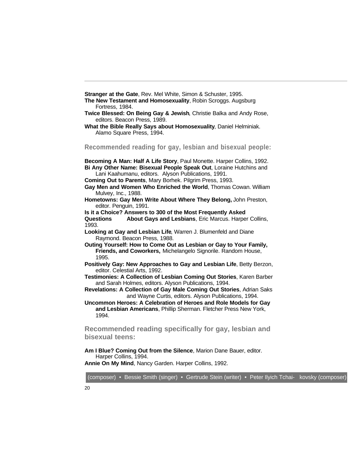**Stranger at the Gate**, Rev. Mel White, Simon & Schuster, 1995.

- **The New Testament and Homosexuality**, Robin Scroggs. Augsburg Fortress, 1984.
- **Twice Blessed: On Being Gay & Jewish**, Christie Balka and Andy Rose, editors. Beacon Press, 1989.
- **What the Bible Really Says about Homosexuality**, Daniel Helminiak. Alamo Square Press, 1994.

**Recommended reading for gay, lesbian and bisexual people:**

**Becoming A Man: Half A Life Story**, Paul Monette. Harper Collins, 1992. **Bi Any Other Name: Bisexual People Speak Out**, Loraine Hutchins and

- Lani Kaahumanu, editors. Alyson Publications, 1991. **Coming Out to Parents**, Mary Borhek. Pilgrim Press, 1993.
- **Gay Men and Women Who Enriched the World**, Thomas Cowan. William Mulvey, Inc., 1988.
- **Hometowns: Gay Men Write About Where They Belong,** John Preston, editor. Penguin, 1991.

**Is it a Choice? Answers to 300 of the Most Frequently Asked**

**Questions About Gays and Lesbians**, Eric Marcus. Harper Collins, 1993.

**Looking at Gay and Lesbian Life**, Warren J. Blumenfeld and Diane Raymond. Beacon Press, 1988.

**Outing Yourself: How to Come Out as Lesbian or Gay to Your Family, Friends, and Coworkers,** Michelangelo Signorile. Random House, 1995.

- **Positively Gay: New Approaches to Gay and Lesbian Life**, Betty Berzon, editor. Celestial Arts, 1992.
- **Testimonies: A Collection of Lesbian Coming Out Stories**, Karen Barber and Sarah Holmes, editors. Alyson Publications, 1994.

**Revelations: A Collection of Gay Male Coming Out Stories**, Adrian Saks and Wayne Curtis, editors. Alyson Publications, 1994.

**Uncommon Heroes: A Celebration of Heroes and Role Models for Gay and Lesbian Americans**, Phillip Sherman. Fletcher Press New York, 1994.

**Recommended reading specifically for gay, lesbian and bisexual teens:**

**Am I Blue? Coming Out from the Silence**, Marion Dane Bauer, editor. Harper Collins, 1994.

**Annie On My Mind**, Nancy Garden. Harper Collins, 1992.

(composer) • Bessie Smith (singer) • Gertrude Stein (writer) • Peter Ilyich Tchai- kovsky (composer)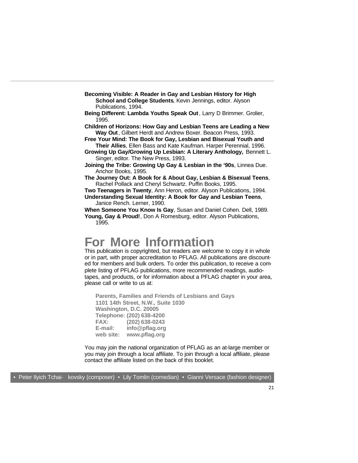- **Becoming Visible: A Reader in Gay and Lesbian History for High School and College Students**, Kevin Jennings, editor. Alyson Publications, 1994.
- **Being Different: Lambda Youths Speak Out**, Larry D Brimmer. Grolier, 1995.
- **Children of Horizons: How Gay and Lesbian Teens are Leading a New Way Out**, Gilbert Herdt and Andrew Boxer. Beacon Press, 1993.

**Free Your Mind: The Book for Gay, Lesbian and Bisexual Youth and Their Allies**, Ellen Bass and Kate Kaufman. Harper Perennial, 1996.

- **Growing Up Gay/Growing Up Lesbian: A Literary Anthology,** Bennett L. Singer, editor. The New Press, 1993.
- **Joining the Tribe: Growing Up Gay & Lesbian in the '90s**, Linnea Due. Anchor Books, 1995.
- **The Journey Out: A Book for & About Gay, Lesbian & Bisexual Teens**, Rachel Pollack and Cheryl Schwartz. Puffin Books, 1995.
- **Two Teenagers in Twenty**, Ann Heron, editor. Alyson Publications, 1994. **Understanding Sexual Identity: A Book for Gay and Lesbian Teens**, Janice Rench. Lerner, 1990.

**When Someone You Know Is Gay**, Susan and Daniel Cohen. Dell, 1989. **Young, Gay & Proud!**, Don A Romesburg, editor. Alyson Publications, 1995.

# **For More Information**

This publication is copyrighted, but readers are welcome to copy it in whole or in part, with proper accreditation to PFLAG. All publications are discounted for members and bulk orders. To order this publication, to receive a complete listing of PFLAG publications, more recommended readings, audiotapes, and products, or for information about a PFLAG chapter in your area, please call or write to us at:

**Parents, Families and Friends of Lesbians and Gays 1101 14th Street, N.W., Suite 1030 Washington, D.C. 20005 Telephone: (202) 638-4200 FAX: (202) 638-0243 E-mail: info@pflag.org web site: www.pflag.org**

You may join the national organization of PFLAG as an at-large member or you may join through a local affiliate. To join through a local affiliate, please contact the affiliate listed on the back of this booklet.

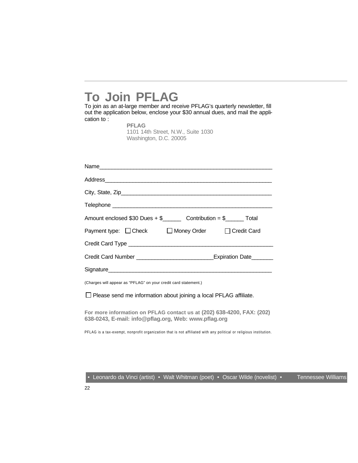# **To Join PFLAG**

To join as an at-large member and receive PFLAG's quarterly newsletter, fill out the application below, enclose your \$30 annual dues, and mail the application to :

**PFLAG**

| 1101 14th Street, N.W., Suite 1030 |  |
|------------------------------------|--|
| Washington, D.C. 20005             |  |

| Amount enclosed $$30$ Dues + \$____________ Contribution = \$__________ Total |  |  |  |  |  |
|-------------------------------------------------------------------------------|--|--|--|--|--|
| Payment type: Check Informery Order Information Credit Card                   |  |  |  |  |  |
|                                                                               |  |  |  |  |  |
|                                                                               |  |  |  |  |  |
|                                                                               |  |  |  |  |  |
|                                                                               |  |  |  |  |  |

(Charges will appear as "PFLAG" on your credit card statement.)

□ Please send me information about joining a local PFLAG affiliate.

**For more information on PFLAG contact us at (202) 638-4200, FAX: (202) 638-0243, E-mail: info@pflag.org, Web: www.pflag.org**

PFLAG is a tax-exempt, nonprofit organization that is not affiliated with any political or religious institution.

• Leonardo da Vinci (artist) • Walt Whitman (poet) • Oscar Wilde (novelist) • Tennessee Williams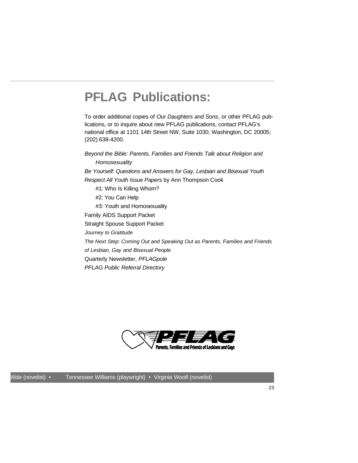# **PFLAG Publications:**

To order additional copies of *Our Daughters and Sons*, or other PFLAG publications, or to inquire about new PFLAG publications, contact PFLAG's national office at 1101 14th Street NW, Suite 1030, Washington, DC 20005; (202) 638-4200.

*Beyond the Bible: Parents, Families and Friends Talk about Religion and Homosexuality Be Yourself: Questions and Answers for Gay, Lesbian and Bisexual Youth Respect All Youth Issue Papers* by Ann Thompson Cook #1: Who Is Killing Whom? #2: You Can Help #3: Youth and Homosexuality Family AIDS Support Packet Straight Spouse Support Packet *Journey to Gratitude The Next Step: Coming Out and Speaking Out as Parents, Families and Friends of Lesbian, Gay and Bisexual People* Quarterly Newsletter, *PFLAGpole PFLAG Public Referral Directory*